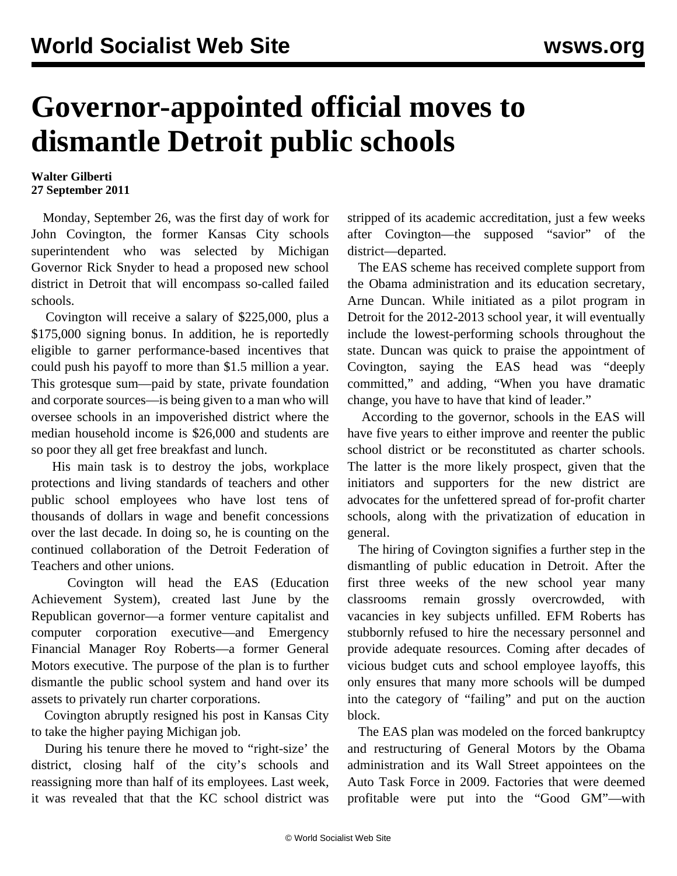## **Governor-appointed official moves to dismantle Detroit public schools**

## **Walter Gilberti 27 September 2011**

 Monday, September 26, was the first day of work for John Covington, the former Kansas City schools superintendent who was selected by Michigan Governor Rick Snyder to head a proposed new school district in Detroit that will encompass so-called failed schools.

 Covington will receive a salary of \$225,000, plus a \$175,000 signing bonus. In addition, he is reportedly eligible to garner performance-based incentives that could push his payoff to more than \$1.5 million a year. This grotesque sum—paid by state, private foundation and corporate sources—is being given to a man who will oversee schools in an impoverished district where the median household income is \$26,000 and students are so poor they all get free breakfast and lunch.

 His main task is to destroy the jobs, workplace protections and living standards of teachers and other public school employees who have lost tens of thousands of dollars in wage and benefit concessions over the last decade. In doing so, he is counting on the continued collaboration of the Detroit Federation of Teachers and other unions.

 Covington will head the EAS (Education Achievement System), created last June by the Republican governor—a former venture capitalist and computer corporation executive—and Emergency Financial Manager Roy Roberts—a former General Motors executive. The purpose of the plan is to further dismantle the public school system and hand over its assets to privately run charter corporations.

 Covington abruptly resigned his post in Kansas City to take the higher paying Michigan job.

 During his tenure there he moved to "right-size' the district, closing half of the city's schools and reassigning more than half of its employees. Last week, it was revealed that that the KC school district was stripped of its academic accreditation, just a few weeks after Covington—the supposed "savior" of the district—departed.

 The EAS scheme has received complete support from the Obama administration and its education secretary, Arne Duncan. While initiated as a pilot program in Detroit for the 2012-2013 school year, it will eventually include the lowest-performing schools throughout the state. Duncan was quick to praise the appointment of Covington, saying the EAS head was "deeply committed," and adding, "When you have dramatic change, you have to have that kind of leader."

 According to the governor, schools in the EAS will have five years to either improve and reenter the public school district or be reconstituted as charter schools. The latter is the more likely prospect, given that the initiators and supporters for the new district are advocates for the unfettered spread of for-profit charter schools, along with the privatization of education in general.

 The hiring of Covington signifies a further step in the dismantling of public education in Detroit. After the first three weeks of the new school year many classrooms remain grossly overcrowded, with vacancies in key subjects unfilled. EFM Roberts has stubbornly refused to hire the necessary personnel and provide adequate resources. Coming after decades of vicious budget cuts and school employee layoffs, this only ensures that many more schools will be dumped into the category of "failing" and put on the auction block.

 The EAS plan was modeled on the forced bankruptcy and restructuring of General Motors by the Obama administration and its Wall Street appointees on the Auto Task Force in 2009. Factories that were deemed profitable were put into the "Good GM"—with